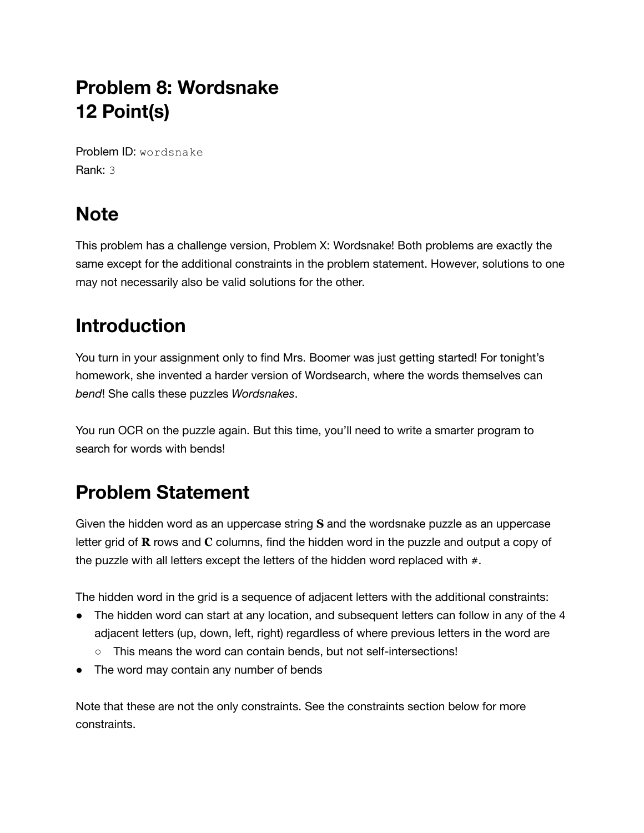## **Problem 8: Wordsnake 12 Point(s)**

Problem ID: wordsnake Rank: 3

## **Note**

This problem has a challenge version, Problem X: Wordsnake! Both problems are exactly the same except for the additional constraints in the problem statement. However, solutions to one may not necessarily also be valid solutions for the other.

## **Introduction**

You turn in your assignment only to find Mrs. Boomer was just getting started! For tonight's homework, she invented a harder version of Wordsearch, where the words themselves can *bend*! She calls these puzzles *Wordsnakes*.

You run OCR on the puzzle again. But this time, you'll need to write a smarter program to search for words with bends!

## **Problem Statement**

Given the hidden word as an uppercase string **S** and the wordsnake puzzle as an uppercase letter grid of **R** rows and **C** columns, find the hidden word in the puzzle and output a copy of the puzzle with all letters except the letters of the hidden word replaced with  $#$ .

The hidden word in the grid is a sequence of adjacent letters with the additional constraints:

- The hidden word can start at any location, and subsequent letters can follow in any of the 4 adjacent letters (up, down, left, right) regardless of where previous letters in the word are
	- This means the word can contain bends, but not self-intersections!
- The word may contain any number of bends

Note that these are not the only constraints. See the constraints section below for more constraints.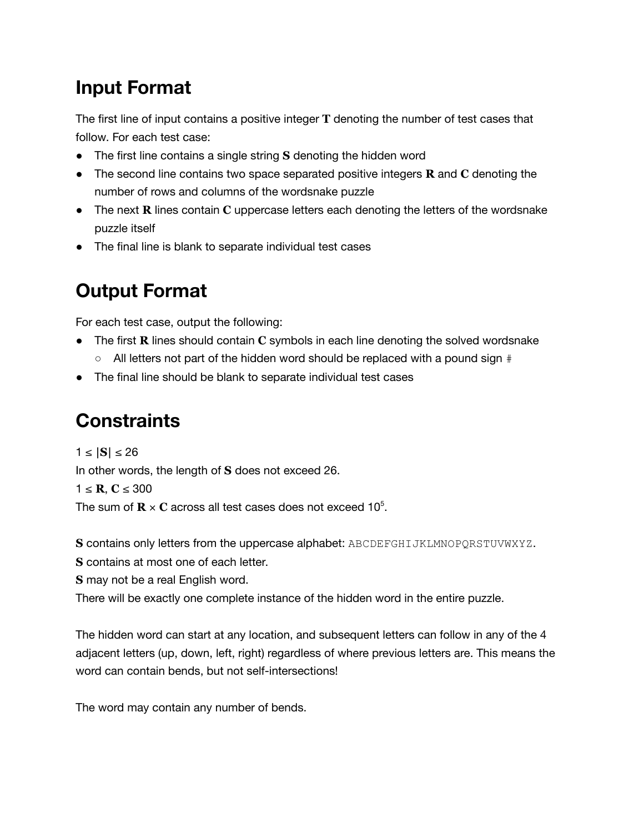### **Input Format**

The first line of input contains a positive integer **T** denoting the number of test cases that follow. For each test case:

- The first line contains a single string **S** denoting the hidden word
- The second line contains two space separated positive integers **R** and **C** denoting the number of rows and columns of the wordsnake puzzle
- The next **R** lines contain **C** uppercase letters each denoting the letters of the wordsnake puzzle itself
- The final line is blank to separate individual test cases

# **Output Format**

For each test case, output the following:

- The first **R** lines should contain **C** symbols in each line denoting the solved wordsnake
	- All letters not part of the hidden word should be replaced with a pound sign #
- The final line should be blank to separate individual test cases

## **Constraints**

1 ≤ **|S|** ≤ 26 In other words, the length of **S** does not exceed 26. 1 ≤ **R**, **C** ≤ 300

The sum of  $\mathbf{R} \times \mathbf{C}$  across all test cases does not exceed 10<sup>5</sup>.

**S** contains only letters from the uppercase alphabet: ABCDEFGHIJKLMNOPQRSTUVWXYZ.

**S** contains at most one of each letter.

**S** may not be a real English word.

There will be exactly one complete instance of the hidden word in the entire puzzle.

The hidden word can start at any location, and subsequent letters can follow in any of the 4 adjacent letters (up, down, left, right) regardless of where previous letters are. This means the word can contain bends, but not self-intersections!

The word may contain any number of bends.